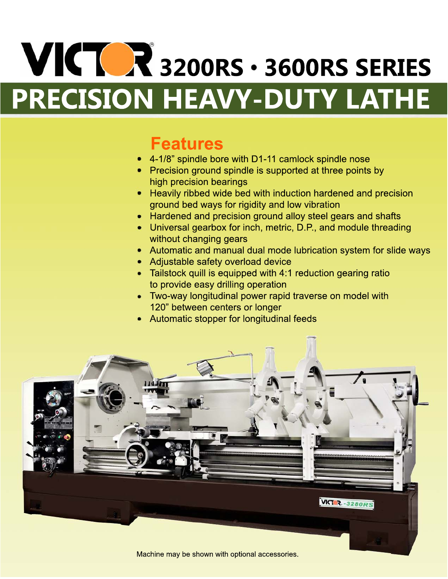# **VICTOR** 3200RS · 3600RS SERIES **PRECISION HEAVY-DUTY LATHE**

## **Features**

- 4-1/8" spindle bore with D1-11 camlock spindle nose
- Precision ground spindle is supported at three points by high precision bearings
- Heavily ribbed wide bed with induction hardened and precision ground bed ways for rigidity and low vibration
- Hardened and precision ground alloy steel gears and shafts
- Universal gearbox for inch, metric, D.P., and module threading without changing gears
- Automatic and manual dual mode lubrication system for slide ways
- Adjustable safety overload device
- Tailstock quill is equipped with 4:1 reduction gearing ratio to provide easy drilling operation
- Two-way longitudinal power rapid traverse on model with 120" between centers or longer
- Automatic stopper for longitudinal feeds



Machine may be shown with optional accessories.